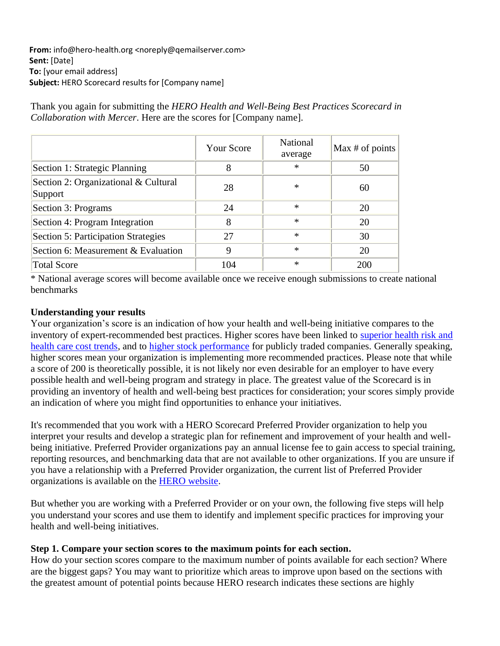**From:** info@hero-health.org <noreply@qemailserver.com> **Sent:** [Date] **To:** [your email address] **Subject:** HERO Scorecard results for [Company name]

Thank you again for submitting the *HERO Health and Well-Being Best Practices Scorecard in Collaboration with Mercer*. Here are the scores for [Company name].

|                                                 | Your Score | National<br>average | Max $#$ of points |
|-------------------------------------------------|------------|---------------------|-------------------|
| Section 1: Strategic Planning                   | 8          | $\ast$              | 50                |
| Section 2: Organizational & Cultural<br>Support | 28         | ∗                   | 60                |
| Section 3: Programs                             | 24         | $\ast$              | 20                |
| Section 4: Program Integration                  | 8          | $\ast$              | 20                |
| Section 5: Participation Strategies             | 27         | $\ast$              | 30                |
| Section 6: Measurement & Evaluation             | 9          | $\ast$              | 20                |
| <b>Total Score</b>                              | 104        | $\ast$              | 200               |

\* National average scores will become available once we receive enough submissions to create national benchmarks

## **Understanding your results**

Your organization's score is an indication of how your health and well-being initiative compares to the inventory of expert-recommended best practices. Higher scores have been linked to [superior health risk and](https://docs.google.com/viewer?url=https%3A%2F%2Fhero-health.org%2Fwp-content%2Fuploads%2F2014%2F11%2FThe-Predictive-Validity-of-the-HERO-Scorecard-in-Determining-Future-Health-Care-Cost-and-Risk-Trends_jg1.pdf)  [health care cost trends,](https://docs.google.com/viewer?url=https%3A%2F%2Fhero-health.org%2Fwp-content%2Fuploads%2F2014%2F11%2FThe-Predictive-Validity-of-the-HERO-Scorecard-in-Determining-Future-Health-Care-Cost-and-Risk-Trends_jg1.pdf) and to [higher stock performance](https://docs.google.com/viewer?url=https%3A%2F%2Fhero-health.org%2Fwp-content%2Fuploads%2F2016%2F01%2FLinking-Workplace-Health-Promotion-Best-Practices-and-Organizational-Financial-Performance.pdf) for publicly traded companies. Generally speaking, higher scores mean your organization is implementing more recommended practices. Please note that while a score of 200 is theoretically possible, it is not likely nor even desirable for an employer to have every possible health and well-being program and strategy in place. The greatest value of the Scorecard is in providing an inventory of health and well-being best practices for consideration; your scores simply provide an indication of where you might find opportunities to enhance your initiatives.

It's recommended that you work with a HERO Scorecard Preferred Provider organization to help you interpret your results and develop a strategic plan for refinement and improvement of your health and wellbeing initiative. Preferred Provider organizations pay an annual license fee to gain access to special training, reporting resources, and benchmarking data that are not available to other organizations. If you are unsure if you have a relationship with a Preferred Provider organization, the current list of Preferred Provider organizations is available on the [HERO website.](https://hero-health.org/hero-scorecard/)

But whether you are working with a Preferred Provider or on your own, the following five steps will help you understand your scores and use them to identify and implement specific practices for improving your health and well-being initiatives.

## **Step 1. Compare your section scores to the maximum points for each section.**

How do your section scores compare to the maximum number of points available for each section? Where are the biggest gaps? You may want to prioritize which areas to improve upon based on the sections with the greatest amount of potential points because HERO [research](https://docs.google.com/viewer?url=https%3A%2F%2Fhero-health.org%2Fwp-content%2Fuploads%2F2020%2F02%2FHERO-Scorecard-Well-being-Factors_AJHP_2020.pdf) indicates these sections are highly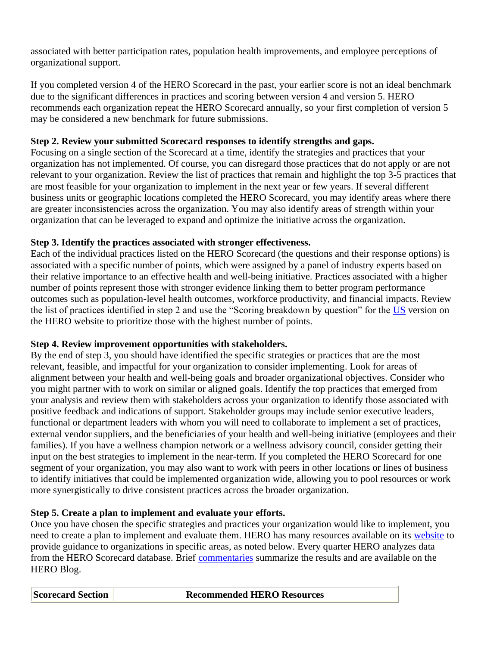associated with better participation rates, population health improvements, and employee perceptions of organizational support.

If you completed version 4 of the HERO Scorecard in the past, your earlier score is not an ideal benchmark due to the significant differences in practices and scoring between version 4 and version 5. HERO recommends each organization repeat the HERO Scorecard annually, so your first completion of version 5 may be considered a new benchmark for future submissions.

## **Step 2. Review your submitted Scorecard responses to identify strengths and gaps.**

Focusing on a single section of the Scorecard at a time, identify the strategies and practices that your organization has not implemented. Of course, you can disregard those practices that do not apply or are not relevant to your organization. Review the list of practices that remain and highlight the top 3-5 practices that are most feasible for your organization to implement in the next year or few years. If several different business units or geographic locations completed the HERO Scorecard, you may identify areas where there are greater inconsistencies across the organization. You may also identify areas of strength within your organization that can be leveraged to expand and optimize the initiative across the organization.

## **Step 3. Identify the practices associated with stronger effectiveness.**

Each of the individual practices listed on the HERO Scorecard (the questions and their response options) is associated with a specific number of points, which were assigned by a panel of industry experts based on their relative importance to an effective health and well-being initiative. Practices associated with a higher number of points represent those with stronger evidence linking them to better program performance outcomes such as population-level health outcomes, workforce productivity, and financial impacts. Review the list of practices identified in step 2 and use the "Scoring breakdown by question" for the [US](https://hero-health.org/publication/us-scorecard-v5-with-scores/) version on the HERO website to prioritize those with the highest number of points.

## **Step 4. Review improvement opportunities with stakeholders.**

By the end of step 3, you should have identified the specific strategies or practices that are the most relevant, feasible, and impactful for your organization to consider implementing. Look for areas of alignment between your health and well-being goals and broader organizational objectives. Consider who you might partner with to work on similar or aligned goals. Identify the top practices that emerged from your analysis and review them with stakeholders across your organization to identify those associated with positive feedback and indications of support. Stakeholder groups may include senior executive leaders, functional or department leaders with whom you will need to collaborate to implement a set of practices, external vendor suppliers, and the beneficiaries of your health and well-being initiative (employees and their families). If you have a wellness champion network or a wellness advisory council, consider getting their input on the best strategies to implement in the near-term. If you completed the HERO Scorecard for one segment of your organization, you may also want to work with peers in other locations or lines of business to identify initiatives that could be implemented organization wide, allowing you to pool resources or work more synergistically to drive consistent practices across the broader organization.

# **Step 5. Create a plan to implement and evaluate your efforts.**

Once you have chosen the specific strategies and practices your organization would like to implement, you need to create a plan to implement and evaluate them. HERO has many resources available on its [website](https://hero-health.org/resources/committee-publications/) to provide guidance to organizations in specific areas, as noted below. Every quarter HERO analyzes data from the HERO Scorecard database. Brief [commentaries](https://hero-health.org/hero-scorecard/commentaries/) summarize the results and are available on the HERO Blog.

#### **Recommended HERO Resources**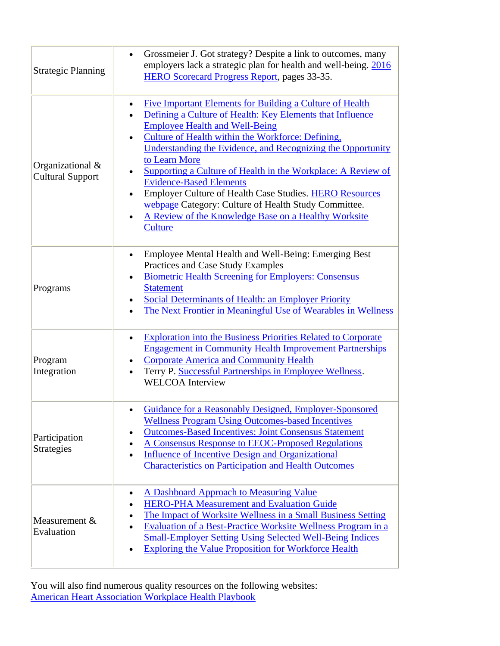| <b>Strategic Planning</b>                   | Grossmeier J. Got strategy? Despite a link to outcomes, many<br>$\bullet$<br>employers lack a strategic plan for health and well-being. 2016<br><b>HERO Scorecard Progress Report, pages 33-35.</b>                                                                                                                                                                                                                                                                                                                                                                                                                                              |  |
|---------------------------------------------|--------------------------------------------------------------------------------------------------------------------------------------------------------------------------------------------------------------------------------------------------------------------------------------------------------------------------------------------------------------------------------------------------------------------------------------------------------------------------------------------------------------------------------------------------------------------------------------------------------------------------------------------------|--|
| Organizational &<br><b>Cultural Support</b> | <b>Five Important Elements for Building a Culture of Health</b><br>$\bullet$<br>Defining a Culture of Health: Key Elements that Influence<br>$\bullet$<br><b>Employee Health and Well-Being</b><br>Culture of Health within the Workforce: Defining,<br>Understanding the Evidence, and Recognizing the Opportunity<br>to Learn More<br>Supporting a Culture of Health in the Workplace: A Review of<br><b>Evidence-Based Elements</b><br><b>Employer Culture of Health Case Studies. HERO Resources</b><br>$\bullet$<br>webpage Category: Culture of Health Study Committee.<br>A Review of the Knowledge Base on a Healthy Worksite<br>Culture |  |
| Programs                                    | Employee Mental Health and Well-Being: Emerging Best<br>$\bullet$<br>Practices and Case Study Examples<br><b>Biometric Health Screening for Employers: Consensus</b><br>$\bullet$<br><b>Statement</b><br><b>Social Determinants of Health: an Employer Priority</b><br>The Next Frontier in Meaningful Use of Wearables in Wellness                                                                                                                                                                                                                                                                                                              |  |
| Program<br>Integration                      | <b>Exploration into the Business Priorities Related to Corporate</b><br>$\bullet$<br><b>Engagement in Community Health Improvement Partnerships</b><br><b>Corporate America and Community Health</b><br>٠<br>Terry P. Successful Partnerships in Employee Wellness.<br>$\bullet$<br><b>WELCOA</b> Interview                                                                                                                                                                                                                                                                                                                                      |  |
| Participation<br><b>Strategies</b>          | Guidance for a Reasonably Designed, Employer-Sponsored<br><b>Wellness Program Using Outcomes-based Incentives</b><br><b>Outcomes-Based Incentives: Joint Consensus Statement</b><br>٠<br>A Consensus Response to EEOC-Proposed Regulations<br><b>Influence of Incentive Design and Organizational</b><br>$\bullet$<br><b>Characteristics on Participation and Health Outcomes</b>                                                                                                                                                                                                                                                                |  |
| Measurement &<br>Evaluation                 | A Dashboard Approach to Measuring Value<br><b>HERO-PHA Measurement and Evaluation Guide</b><br>The Impact of Worksite Wellness in a Small Business Setting<br><b>Evaluation of a Best-Practice Worksite Wellness Program in a</b><br><b>Small-Employer Setting Using Selected Well-Being Indices</b><br><b>Exploring the Value Proposition for Workforce Health</b>                                                                                                                                                                                                                                                                              |  |

You will also find numerous quality resources on the following websites: [American Heart Association Workplace Health Playbook](https://playbook.heart.org/)